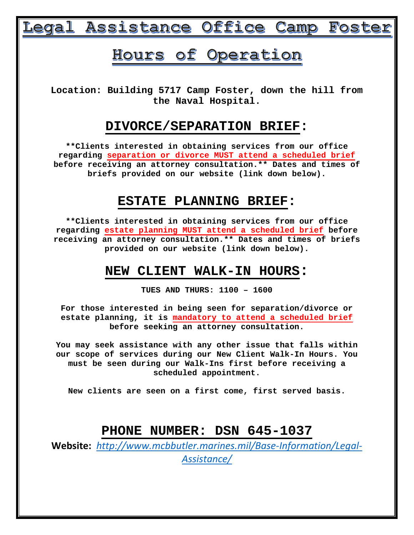# Legal Assistance Office Camp Foster

## Hours of Operation

**Location: Building 5717 Camp Foster, down the hill from the Naval Hospital.**

## **DIVORCE/SEPARATION BRIEF:**

**\*\*Clients interested in obtaining services from our office regarding separation or divorce MUST attend a scheduled brief before receiving an attorney consultation.\*\* Dates and times of briefs provided on our website (link down below).**

## **ESTATE PLANNING BRIEF:**

**\*\*Clients interested in obtaining services from our office regarding estate planning MUST attend a scheduled brief before receiving an attorney consultation.\*\* Dates and times of briefs provided on our website (link down below).**

## **NEW CLIENT WALK-IN HOURS:**

**TUES AND THURS: 1100 – 1600**

**For those interested in being seen for separation/divorce or estate planning, it is mandatory to attend a scheduled brief before seeking an attorney consultation.** 

**You may seek assistance with any other issue that falls within our scope of services during our New Client Walk-In Hours. You must be seen during our Walk-Ins first before receiving a scheduled appointment.**

**New clients are seen on a first come, first served basis.**

## **PHONE NUMBER: DSN 645-1037**

**Website:** *[http://www.mcbbutler.marines.mil/Base-Information/Legal-](http://www.mcbbutler.marines.mil/Base-Information/Legal-Assistance/)[Assistance/](http://www.mcbbutler.marines.mil/Base-Information/Legal-Assistance/)*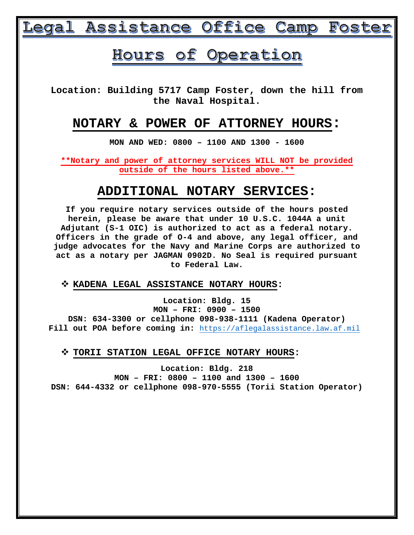# Legal Assistance Office Camp Foster

## Hours of Operation

**Location: Building 5717 Camp Foster, down the hill from the Naval Hospital.**

### **NOTARY & POWER OF ATTORNEY HOURS:**

**MON AND WED: 0800 – 1100 AND 1300 - 1600**

**\*\*Notary and power of attorney services WILL NOT be provided outside of the hours listed above.\*\***

## **ADDITIONAL NOTARY SERVICES:**

**If you require notary services outside of the hours posted herein, please be aware that under 10 U.S.C. 1044A a unit Adjutant (S-1 OIC) is authorized to act as a federal notary. Officers in the grade of O-4 and above, any legal officer, and judge advocates for the Navy and Marine Corps are authorized to act as a notary per JAGMAN 0902D. No Seal is required pursuant to Federal Law.**

**KADENA LEGAL ASSISTANCE NOTARY HOURS:**

**Location: Bldg. 15 MON – FRI: 0900 – 1500 DSN: 634-3300 or cellphone 098-938-1111 (Kadena Operator) Fill out POA before coming in:** [https://aflegalassistance.law.af.mil](https://aflegalassistance.law.af.mil/)

**TORII STATION LEGAL OFFICE NOTARY HOURS:**

**Location: Bldg. 218 MON – FRI: 0800 – 1100 and 1300 – 1600 DSN: 644-4332 or cellphone 098-970-5555 (Torii Station Operator)**